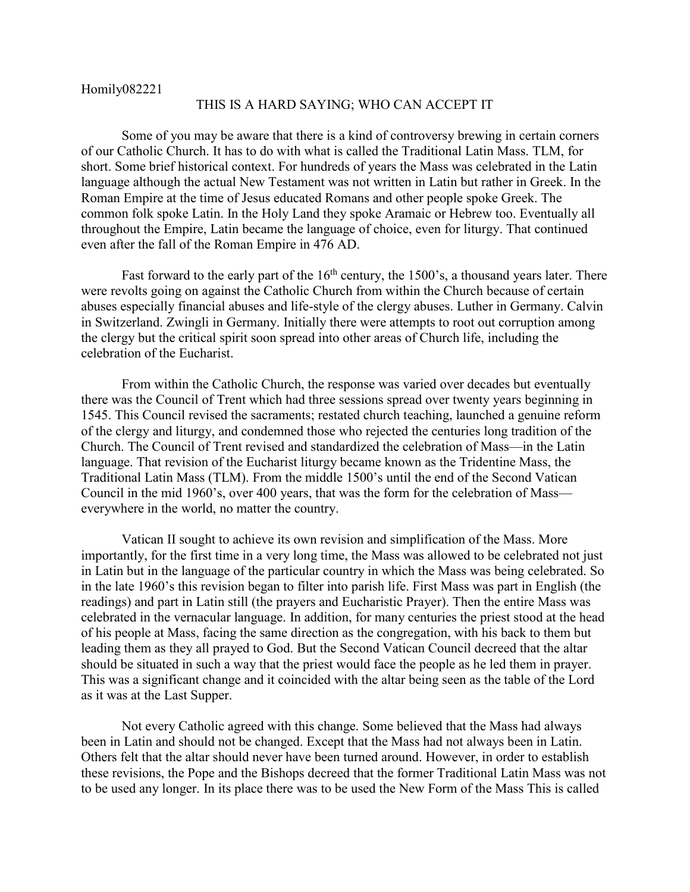Homily082221

## THIS IS A HARD SAYING; WHO CAN ACCEPT IT

Some of you may be aware that there is a kind of controversy brewing in certain corners of our Catholic Church. It has to do with what is called the Traditional Latin Mass. TLM, for short. Some brief historical context. For hundreds of years the Mass was celebrated in the Latin language although the actual New Testament was not written in Latin but rather in Greek. In the Roman Empire at the time of Jesus educated Romans and other people spoke Greek. The common folk spoke Latin. In the Holy Land they spoke Aramaic or Hebrew too. Eventually all throughout the Empire, Latin became the language of choice, even for liturgy. That continued even after the fall of the Roman Empire in 476 AD.

Fast forward to the early part of the  $16<sup>th</sup>$  century, the 1500's, a thousand years later. There were revolts going on against the Catholic Church from within the Church because of certain abuses especially financial abuses and life-style of the clergy abuses. Luther in Germany. Calvin in Switzerland. Zwingli in Germany. Initially there were attempts to root out corruption among the clergy but the critical spirit soon spread into other areas of Church life, including the celebration of the Eucharist.

From within the Catholic Church, the response was varied over decades but eventually there was the Council of Trent which had three sessions spread over twenty years beginning in 1545. This Council revised the sacraments; restated church teaching, launched a genuine reform of the clergy and liturgy, and condemned those who rejected the centuries long tradition of the Church. The Council of Trent revised and standardized the celebration of Mass—in the Latin language. That revision of the Eucharist liturgy became known as the Tridentine Mass, the Traditional Latin Mass (TLM). From the middle 1500's until the end of the Second Vatican Council in the mid 1960's, over 400 years, that was the form for the celebration of Mass everywhere in the world, no matter the country.

Vatican II sought to achieve its own revision and simplification of the Mass. More importantly, for the first time in a very long time, the Mass was allowed to be celebrated not just in Latin but in the language of the particular country in which the Mass was being celebrated. So in the late 1960's this revision began to filter into parish life. First Mass was part in English (the readings) and part in Latin still (the prayers and Eucharistic Prayer). Then the entire Mass was celebrated in the vernacular language. In addition, for many centuries the priest stood at the head of his people at Mass, facing the same direction as the congregation, with his back to them but leading them as they all prayed to God. But the Second Vatican Council decreed that the altar should be situated in such a way that the priest would face the people as he led them in prayer. This was a significant change and it coincided with the altar being seen as the table of the Lord as it was at the Last Supper.

Not every Catholic agreed with this change. Some believed that the Mass had always been in Latin and should not be changed. Except that the Mass had not always been in Latin. Others felt that the altar should never have been turned around. However, in order to establish these revisions, the Pope and the Bishops decreed that the former Traditional Latin Mass was not to be used any longer. In its place there was to be used the New Form of the Mass This is called